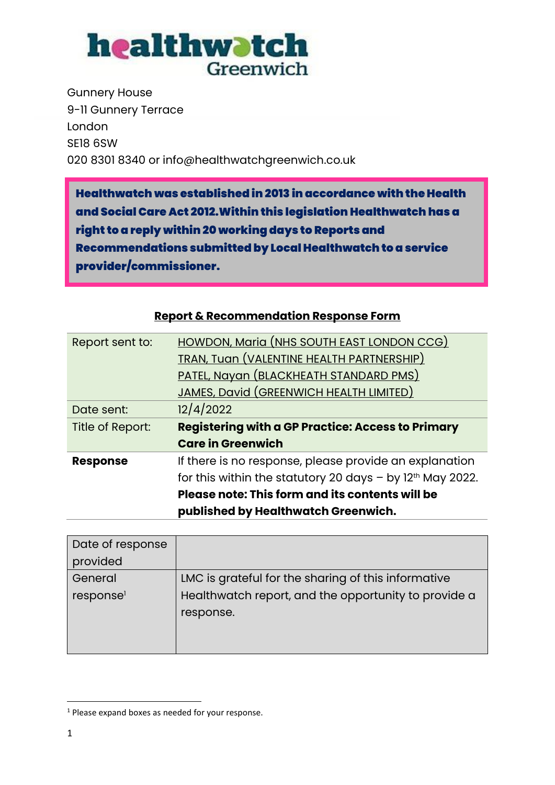

Gunnery House 9-11 Gunnery Terrace London SE18 6SW 020 8301 8340 or info@healthwatchgreenwich.co.uk

Healthwatch was established in 2013 in accordance with the Health and Social Care Act 2012.Within this legislation Healthwatch has a right to a reply within 20 working days to Reports and Recommendations submitted by Local Healthwatch to a service provider/commissioner.

| Report sent to:         | <b>HOWDON, Maria (NHS SOUTH EAST LONDON CCG)</b>              |  |
|-------------------------|---------------------------------------------------------------|--|
|                         | <b>TRAN, Tuan (VALENTINE HEALTH PARTNERSHIP)</b>              |  |
|                         | PATEL, Nayan (BLACKHEATH STANDARD PMS)                        |  |
|                         | JAMES, David (GREENWICH HEALTH LIMITED)                       |  |
| Date sent:              | 12/4/2022                                                     |  |
| <b>Title of Report:</b> | <b>Registering with a GP Practice: Access to Primary</b>      |  |
|                         | <b>Care in Greenwich</b>                                      |  |
| <b>Response</b>         | If there is no response, please provide an explanation        |  |
|                         | for this within the statutory 20 days $-$ by $12th$ May 2022. |  |
|                         | Please note: This form and its contents will be               |  |
|                         | published by Healthwatch Greenwich.                           |  |

|  |  | <b>Report &amp; Recommendation Response Form</b> |  |
|--|--|--------------------------------------------------|--|
|  |  |                                                  |  |

| Date of response      |                                                      |
|-----------------------|------------------------------------------------------|
| provided              |                                                      |
| General               | LMC is grateful for the sharing of this informative  |
| response <sup>1</sup> | Healthwatch report, and the opportunity to provide a |
|                       | response.                                            |
|                       |                                                      |
|                       |                                                      |

<sup>&</sup>lt;sup>1</sup> Please expand boxes as needed for your response.